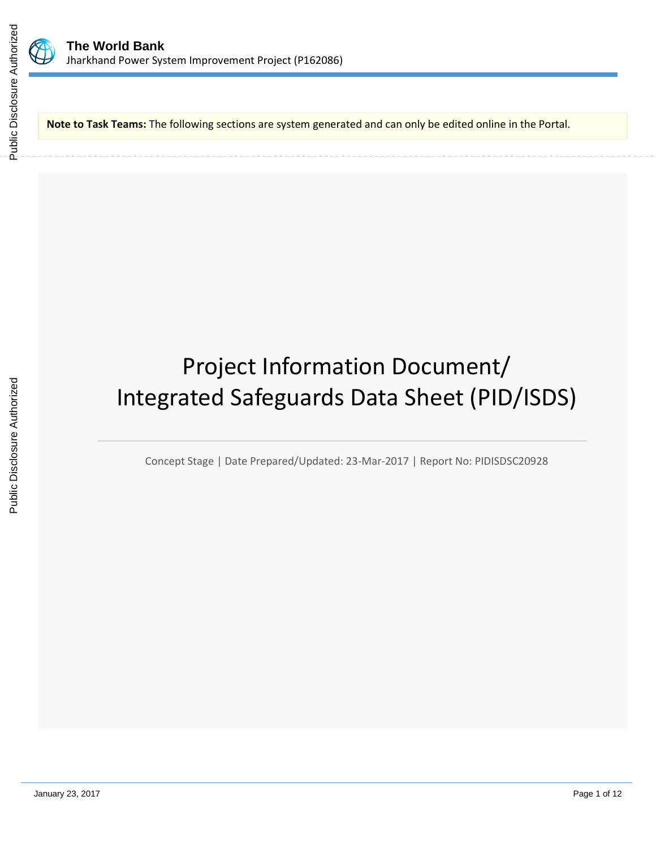

**Note to Task Teams:** The following sections are system generated and can only be edited online in the Portal.

# Project Information Document/ Integrated Safeguards Data Sheet (PID/ISDS)

Concept Stage | Date Prepared/Updated: 23-Mar-2017 | Report No: PIDISDSC20928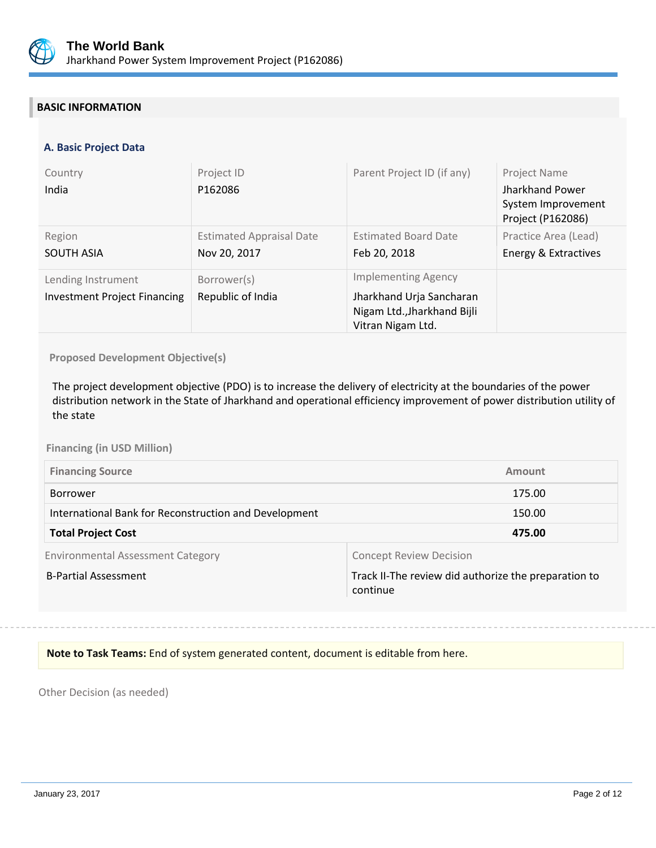

## **BASIC INFORMATION**

## **A. Basic Project Data**

| Country<br>India                                          | Project ID<br>P162086                           | Parent Project ID (if any)                                                                                 | Project Name<br>Jharkhand Power<br>System Improvement<br>Project (P162086) |
|-----------------------------------------------------------|-------------------------------------------------|------------------------------------------------------------------------------------------------------------|----------------------------------------------------------------------------|
| Region<br><b>SOUTH ASIA</b>                               | <b>Estimated Appraisal Date</b><br>Nov 20, 2017 | <b>Estimated Board Date</b><br>Feb 20, 2018                                                                | Practice Area (Lead)<br>Energy & Extractives                               |
| Lending Instrument<br><b>Investment Project Financing</b> | Borrower(s)<br>Republic of India                | <b>Implementing Agency</b><br>Jharkhand Urja Sancharan<br>Nigam Ltd., Jharkhand Bijli<br>Vitran Nigam Ltd. |                                                                            |

**Proposed Development Objective(s)** 

The project development objective (PDO) is to increase the delivery of electricity at the boundaries of the power distribution network in the State of Jharkhand and operational efficiency improvement of power distribution utility of the state

#### **Financing (in USD Million)**

| <b>Financing Source</b>                               | Amount |
|-------------------------------------------------------|--------|
| Borrower                                              | 175.00 |
| International Bank for Reconstruction and Development | 150.00 |
| <b>Total Project Cost</b>                             | 475.00 |

Environmental Assessment Category **Concept Review Decision** 

B-Partial Assessment Track II-The review did authorize the preparation to continue

**Note to Task Teams:** End of system generated content, document is editable from here.

Other Decision (as needed)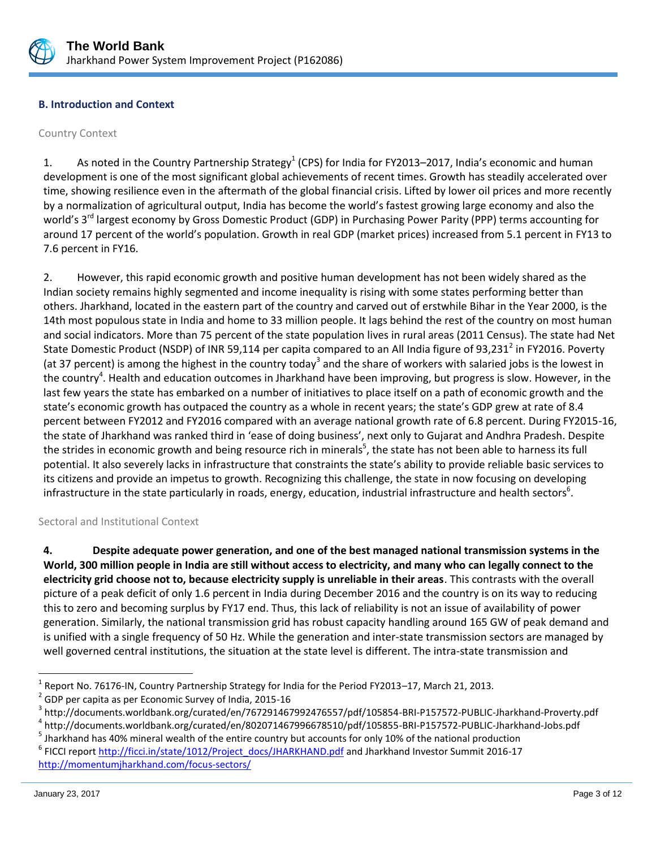

## **B. Introduction and Context**

#### Country Context

1. As noted in the Country Partnership Strategy<sup>1</sup> (CPS) for India for FY2013–2017, India's economic and human development is one of the most significant global achievements of recent times. Growth has steadily accelerated over time, showing resilience even in the aftermath of the global financial crisis. Lifted by lower oil prices and more recently by a normalization of agricultural output, India has become the world's fastest growing large economy and also the world's 3<sup>rd</sup> largest economy by Gross Domestic Product (GDP) in Purchasing Power Parity (PPP) terms accounting for around 17 percent of the world's population. Growth in real GDP (market prices) increased from 5.1 percent in FY13 to 7.6 percent in FY16.

2. However, this rapid economic growth and positive human development has not been widely shared as the Indian society remains highly segmented and income inequality is rising with some states performing better than others. Jharkhand, located in the eastern part of the country and carved out of erstwhile Bihar in the Year 2000, is the 14th most populous state in India and home to 33 million people. It lags behind the rest of the country on most human and social indicators. More than 75 percent of the state population lives in rural areas (2011 Census). The state had Net State Domestic Product (NSDP) of INR 59,114 per capita compared to an All India figure of 93,231<sup>2</sup> in FY2016. Poverty (at 37 percent) is among the highest in the country today<sup>3</sup> and the share of workers with salaried jobs is the lowest in the country<sup>4</sup>. Health and education outcomes in Jharkhand have been improving, but progress is slow. However, in the last few years the state has embarked on a number of initiatives to place itself on a path of economic growth and the state's economic growth has outpaced the country as a whole in recent years; the state's GDP grew at rate of 8.4 percent between FY2012 and FY2016 compared with an average national growth rate of 6.8 percent. During FY2015-16, the state of Jharkhand was ranked third in 'ease of doing business', next only to Gujarat and Andhra Pradesh. Despite the strides in economic growth and being resource rich in minerals<sup>5</sup>, the state has not been able to harness its full potential. It also severely lacks in infrastructure that constraints the state's ability to provide reliable basic services to its citizens and provide an impetus to growth. Recognizing this challenge, the state in now focusing on developing infrastructure in the state particularly in roads, energy, education, industrial infrastructure and health sectors<sup>6</sup>.

Sectoral and Institutional Context

**4. Despite adequate power generation, and one of the best managed national transmission systems in the World, 300 million people in India are still without access to electricity, and many who can legally connect to the electricity grid choose not to, because electricity supply is unreliable in their areas**. This contrasts with the overall picture of a peak deficit of only 1.6 percent in India during December 2016 and the country is on its way to reducing this to zero and becoming surplus by FY17 end. Thus, this lack of reliability is not an issue of availability of power generation. Similarly, the national transmission grid has robust capacity handling around 165 GW of peak demand and is unified with a single frequency of 50 Hz. While the generation and inter-state transmission sectors are managed by well governed central institutions, the situation at the state level is different. The intra-state transmission and

 $\overline{a}$ 

<sup>1</sup> Report No. 76176-IN, Country Partnership Strategy for India for the Period FY2013–17, March 21, 2013.

<sup>2</sup> GDP per capita as per Economic Survey of India, 2015-16

<sup>&</sup>lt;sup>3</sup> http://documents.worldbank.org/curated/en/767291467992476557/pdf/105854-BRI-P157572-PUBLIC-Jharkhand-Proverty.pdf

<sup>4</sup> http://documents.worldbank.org/curated/en/802071467996678510/pdf/105855-BRI-P157572-PUBLIC-Jharkhand-Jobs.pdf

<sup>&</sup>lt;sup>5</sup> Jharkhand has 40% mineral wealth of the entire country but accounts for only 10% of the national production <sup>6</sup> FICCI report [http://ficci.in/state/1012/Project\\_docs/JHARKHAND.pdf](http://ficci.in/state/1012/Project_docs/JHARKHAND.pdf) and Jharkhand Investor Summit 2016-17 <http://momentumjharkhand.com/focus-sectors/>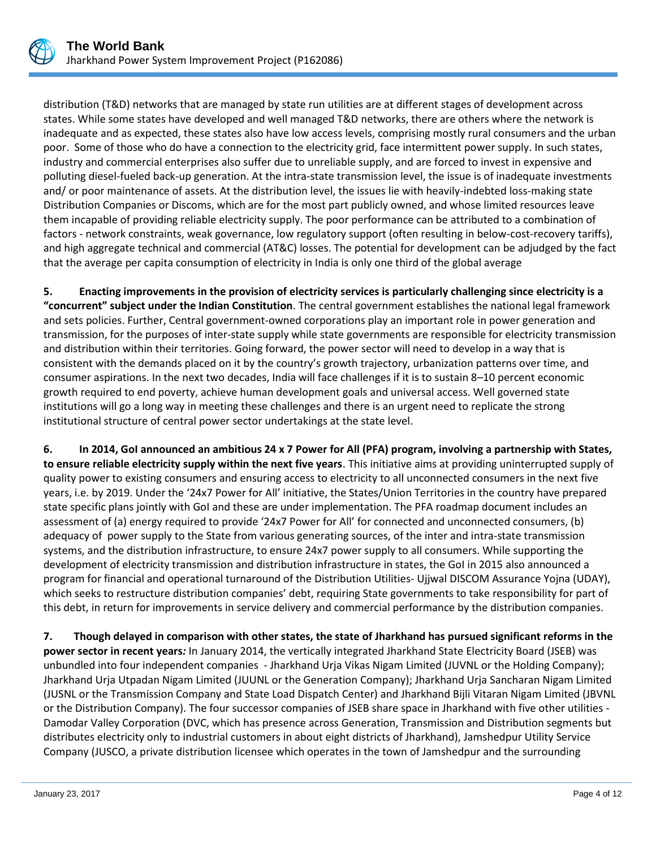

distribution (T&D) networks that are managed by state run utilities are at different stages of development across states. While some states have developed and well managed T&D networks, there are others where the network is inadequate and as expected, these states also have low access levels, comprising mostly rural consumers and the urban poor. Some of those who do have a connection to the electricity grid, face intermittent power supply. In such states, industry and commercial enterprises also suffer due to unreliable supply, and are forced to invest in expensive and polluting diesel-fueled back-up generation. At the intra-state transmission level, the issue is of inadequate investments and/ or poor maintenance of assets. At the distribution level, the issues lie with heavily-indebted loss-making state Distribution Companies or Discoms, which are for the most part publicly owned, and whose limited resources leave them incapable of providing reliable electricity supply. The poor performance can be attributed to a combination of factors - network constraints, weak governance, low regulatory support (often resulting in below-cost-recovery tariffs), and high aggregate technical and commercial (AT&C) losses. The potential for development can be adjudged by the fact that the average per capita consumption of electricity in India is only one third of the global average

**5. Enacting improvements in the provision of electricity services is particularly challenging since electricity is a "concurrent" subject under the Indian Constitution**. The central government establishes the national legal framework and sets policies. Further, Central government-owned corporations play an important role in power generation and transmission, for the purposes of inter-state supply while state governments are responsible for electricity transmission and distribution within their territories. Going forward, the power sector will need to develop in a way that is consistent with the demands placed on it by the country's growth trajectory, urbanization patterns over time, and consumer aspirations. In the next two decades, India will face challenges if it is to sustain 8–10 percent economic growth required to end poverty, achieve human development goals and universal access. Well governed state institutions will go a long way in meeting these challenges and there is an urgent need to replicate the strong institutional structure of central power sector undertakings at the state level.

**6. In 2014, GoI announced an ambitious 24 x 7 Power for All (PFA) program, involving a partnership with States, to ensure reliable electricity supply within the next five years**. This initiative aims at providing uninterrupted supply of quality power to existing consumers and ensuring access to electricity to all unconnected consumers in the next five years, i.e. by 2019. Under the '24x7 Power for All' initiative, the States/Union Territories in the country have prepared state specific plans jointly with GoI and these are under implementation. The PFA roadmap document includes an assessment of (a) energy required to provide '24x7 Power for All' for connected and unconnected consumers, (b) adequacy of power supply to the State from various generating sources, of the inter and intra-state transmission systems, and the distribution infrastructure, to ensure 24x7 power supply to all consumers. While supporting the development of electricity transmission and distribution infrastructure in states, the GoI in 2015 also announced a program for financial and operational turnaround of the Distribution Utilities- Ujjwal DISCOM Assurance Yojna (UDAY), which seeks to restructure distribution companies' debt, requiring State governments to take responsibility for part of this debt, in return for improvements in service delivery and commercial performance by the distribution companies.

**7.****Though delayed in comparison with other states, the state of Jharkhand has pursued significant reforms in the power sector in recent years***:* In January 2014, the vertically integrated Jharkhand State Electricity Board (JSEB) was unbundled into four independent companies - Jharkhand Urja Vikas Nigam Limited (JUVNL or the Holding Company); Jharkhand Urja Utpadan Nigam Limited (JUUNL or the Generation Company); Jharkhand Urja Sancharan Nigam Limited (JUSNL or the Transmission Company and State Load Dispatch Center) and Jharkhand Bijli Vitaran Nigam Limited (JBVNL or the Distribution Company). The four successor companies of JSEB share space in Jharkhand with five other utilities - Damodar Valley Corporation (DVC, which has presence across Generation, Transmission and Distribution segments but distributes electricity only to industrial customers in about eight districts of Jharkhand), Jamshedpur Utility Service Company (JUSCO, a private distribution licensee which operates in the town of Jamshedpur and the surrounding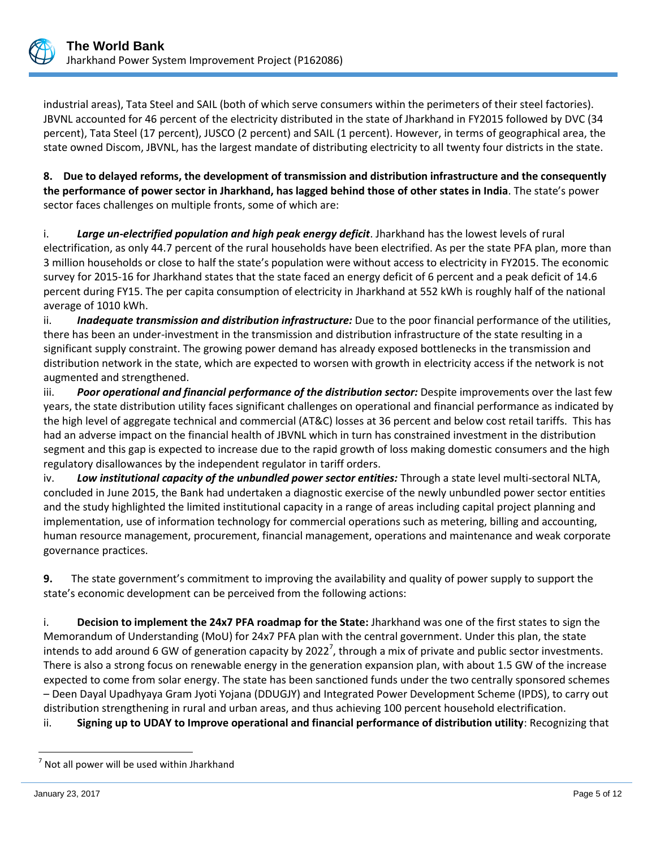

industrial areas), Tata Steel and SAIL (both of which serve consumers within the perimeters of their steel factories). JBVNL accounted for 46 percent of the electricity distributed in the state of Jharkhand in FY2015 followed by DVC (34 percent), Tata Steel (17 percent), JUSCO (2 percent) and SAIL (1 percent). However, in terms of geographical area, the state owned Discom, JBVNL, has the largest mandate of distributing electricity to all twenty four districts in the state.

**8. Due to delayed reforms, the development of transmission and distribution infrastructure and the consequently the performance of power sector in Jharkhand, has lagged behind those of other states in India**. The state's power sector faces challenges on multiple fronts, some of which are:

i. *Large un-electrified population and high peak energy deficit*. Jharkhand has the lowest levels of rural electrification, as only 44.7 percent of the rural households have been electrified. As per the state PFA plan, more than 3 million households or close to half the state's population were without access to electricity in FY2015. The economic survey for 2015-16 for Jharkhand states that the state faced an energy deficit of 6 percent and a peak deficit of 14.6 percent during FY15. The per capita consumption of electricity in Jharkhand at 552 kWh is roughly half of the national average of 1010 kWh.

ii. *Inadequate transmission and distribution infrastructure:* Due to the poor financial performance of the utilities, there has been an under-investment in the transmission and distribution infrastructure of the state resulting in a significant supply constraint. The growing power demand has already exposed bottlenecks in the transmission and distribution network in the state, which are expected to worsen with growth in electricity access if the network is not augmented and strengthened.

iii. *Poor operational and financial performance of the distribution sector:* Despite improvements over the last few years, the state distribution utility faces significant challenges on operational and financial performance as indicated by the high level of aggregate technical and commercial (AT&C) losses at 36 percent and below cost retail tariffs. This has had an adverse impact on the financial health of JBVNL which in turn has constrained investment in the distribution segment and this gap is expected to increase due to the rapid growth of loss making domestic consumers and the high regulatory disallowances by the independent regulator in tariff orders.

iv. *Low institutional capacity of the unbundled power sector entities:* Through a state level multi-sectoral NLTA, concluded in June 2015, the Bank had undertaken a diagnostic exercise of the newly unbundled power sector entities and the study highlighted the limited institutional capacity in a range of areas including capital project planning and implementation, use of information technology for commercial operations such as metering, billing and accounting, human resource management, procurement, financial management, operations and maintenance and weak corporate governance practices.

**9.** The state government's commitment to improving the availability and quality of power supply to support the state's economic development can be perceived from the following actions:

i. **Decision to implement the 24x7 PFA roadmap for the State:** Jharkhand was one of the first states to sign the Memorandum of Understanding (MoU) for 24x7 PFA plan with the central government. Under this plan, the state intends to add around 6 GW of generation capacity by 2022<sup>7</sup>, through a mix of private and public sector investments. There is also a strong focus on renewable energy in the generation expansion plan, with about 1.5 GW of the increase expected to come from solar energy. The state has been sanctioned funds under the two centrally sponsored schemes – Deen Dayal Upadhyaya Gram Jyoti Yojana (DDUGJY) and Integrated Power Development Scheme (IPDS), to carry out distribution strengthening in rural and urban areas, and thus achieving 100 percent household electrification.

ii. **Signing up to UDAY to Improve operational and financial performance of distribution utility**: Recognizing that

 $\overline{a}$ 

 $<sup>7</sup>$  Not all power will be used within Jharkhand</sup>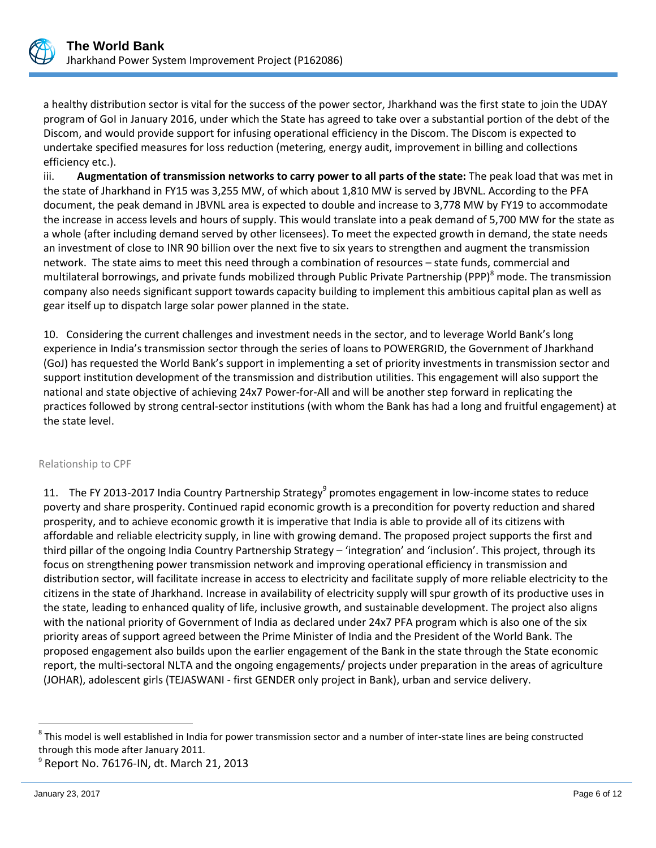

a healthy distribution sector is vital for the success of the power sector, Jharkhand was the first state to join the UDAY program of GoI in January 2016, under which the State has agreed to take over a substantial portion of the debt of the Discom, and would provide support for infusing operational efficiency in the Discom. The Discom is expected to undertake specified measures for loss reduction (metering, energy audit, improvement in billing and collections efficiency etc.).

iii. **Augmentation of transmission networks to carry power to all parts of the state:** The peak load that was met in the state of Jharkhand in FY15 was 3,255 MW, of which about 1,810 MW is served by JBVNL. According to the PFA document, the peak demand in JBVNL area is expected to double and increase to 3,778 MW by FY19 to accommodate the increase in access levels and hours of supply. This would translate into a peak demand of 5,700 MW for the state as a whole (after including demand served by other licensees). To meet the expected growth in demand, the state needs an investment of close to INR 90 billion over the next five to six years to strengthen and augment the transmission network. The state aims to meet this need through a combination of resources – state funds, commercial and multilateral borrowings, and private funds mobilized through Public Private Partnership (PPP)<sup>8</sup> mode. The transmission company also needs significant support towards capacity building to implement this ambitious capital plan as well as gear itself up to dispatch large solar power planned in the state.

10. Considering the current challenges and investment needs in the sector, and to leverage World Bank's long experience in India's transmission sector through the series of loans to POWERGRID, the Government of Jharkhand (GoJ) has requested the World Bank's support in implementing a set of priority investments in transmission sector and support institution development of the transmission and distribution utilities. This engagement will also support the national and state objective of achieving 24x7 Power-for-All and will be another step forward in replicating the practices followed by strong central-sector institutions (with whom the Bank has had a long and fruitful engagement) at the state level.

#### Relationship to CPF

11. The FY 2013-2017 India Country Partnership Strategy<sup>9</sup> promotes engagement in low-income states to reduce poverty and share prosperity. Continued rapid economic growth is a precondition for poverty reduction and shared prosperity, and to achieve economic growth it is imperative that India is able to provide all of its citizens with affordable and reliable electricity supply, in line with growing demand. The proposed project supports the first and third pillar of the ongoing India Country Partnership Strategy – 'integration' and 'inclusion'. This project, through its focus on strengthening power transmission network and improving operational efficiency in transmission and distribution sector, will facilitate increase in access to electricity and facilitate supply of more reliable electricity to the citizens in the state of Jharkhand. Increase in availability of electricity supply will spur growth of its productive uses in the state, leading to enhanced quality of life, inclusive growth, and sustainable development. The project also aligns with the national priority of Government of India as declared under 24x7 PFA program which is also one of the six priority areas of support agreed between the Prime Minister of India and the President of the World Bank. The proposed engagement also builds upon the earlier engagement of the Bank in the state through the State economic report, the multi-sectoral NLTA and the ongoing engagements/ projects under preparation in the areas of agriculture (JOHAR), adolescent girls (TEJASWANI - first GENDER only project in Bank), urban and service delivery.

 $\overline{a}$ 

 $^8$  This model is well established in India for power transmission sector and a number of inter-state lines are being constructed through this mode after January 2011.

<sup>9</sup> Report No. 76176-IN, dt. March 21, 2013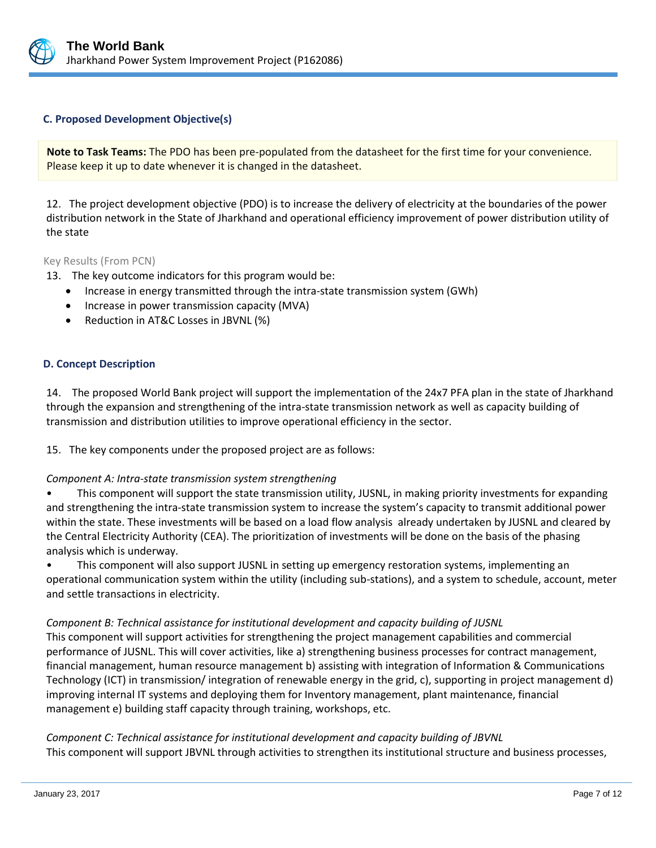

## **C. Proposed Development Objective(s)**

**Note to Task Teams:** The PDO has been pre-populated from the datasheet for the first time for your convenience. Please keep it up to date whenever it is changed in the datasheet.

12. The project development objective (PDO) is to increase the delivery of electricity at the boundaries of the power distribution network in the State of Jharkhand and operational efficiency improvement of power distribution utility of the state

## Key Results (From PCN)

13. The key outcome indicators for this program would be:

- Increase in energy transmitted through the intra-state transmission system (GWh)
- Increase in power transmission capacity (MVA)
- Reduction in AT&C Losses in JBVNL (%)

## **D. Concept Description**

14. The proposed World Bank project will support the implementation of the 24x7 PFA plan in the state of Jharkhand through the expansion and strengthening of the intra-state transmission network as well as capacity building of transmission and distribution utilities to improve operational efficiency in the sector.

15. The key components under the proposed project are as follows:

#### *Component A: Intra-state transmission system strengthening*

• This component will support the state transmission utility, JUSNL, in making priority investments for expanding and strengthening the intra-state transmission system to increase the system's capacity to transmit additional power within the state. These investments will be based on a load flow analysis already undertaken by JUSNL and cleared by the Central Electricity Authority (CEA). The prioritization of investments will be done on the basis of the phasing analysis which is underway.

• This component will also support JUSNL in setting up emergency restoration systems, implementing an operational communication system within the utility (including sub-stations), and a system to schedule, account, meter and settle transactions in electricity.

## *Component B: Technical assistance for institutional development and capacity building of JUSNL*

This component will support activities for strengthening the project management capabilities and commercial performance of JUSNL. This will cover activities, like a) strengthening business processes for contract management, financial management, human resource management b) assisting with integration of Information & Communications Technology (ICT) in transmission/ integration of renewable energy in the grid, c), supporting in project management d) improving internal IT systems and deploying them for Inventory management, plant maintenance, financial management e) building staff capacity through training, workshops, etc.

*Component C: Technical assistance for institutional development and capacity building of JBVNL*  This component will support JBVNL through activities to strengthen its institutional structure and business processes,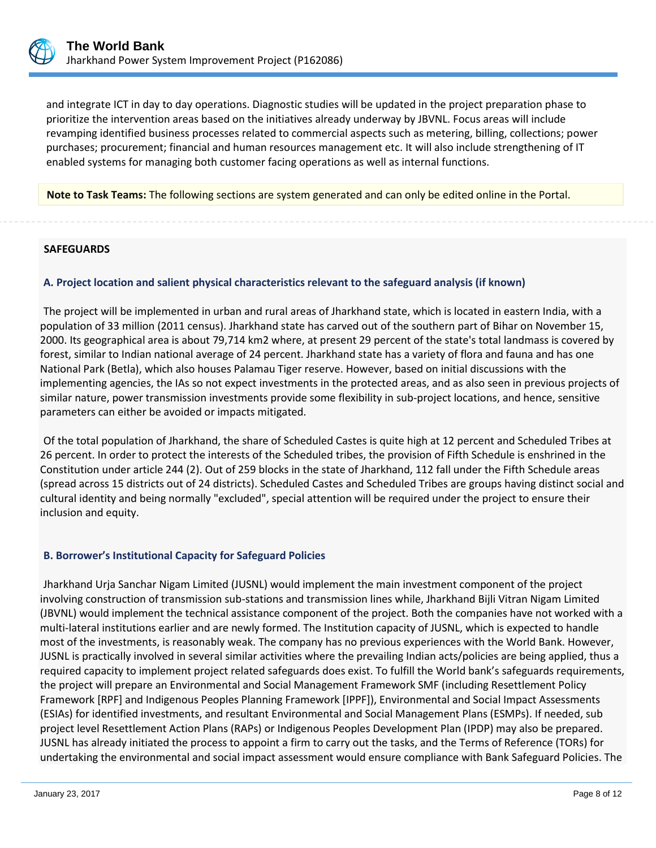

and integrate ICT in day to day operations. Diagnostic studies will be updated in the project preparation phase to prioritize the intervention areas based on the initiatives already underway by JBVNL. Focus areas will include revamping identified business processes related to commercial aspects such as metering, billing, collections; power purchases; procurement; financial and human resources management etc. It will also include strengthening of IT enabled systems for managing both customer facing operations as well as internal functions.

**Note to Task Teams:** The following sections are system generated and can only be edited online in the Portal.

#### **SAFEGUARDS**

## **A. Project location and salient physical characteristics relevant to the safeguard analysis (if known)**

The project will be implemented in urban and rural areas of Jharkhand state, which is located in eastern India, with a population of 33 million (2011 census). Jharkhand state has carved out of the southern part of Bihar on November 15, 2000. Its geographical area is about 79,714 km2 where, at present 29 percent of the state's total landmass is covered by forest, similar to Indian national average of 24 percent. Jharkhand state has a variety of flora and fauna and has one National Park (Betla), which also houses Palamau Tiger reserve. However, based on initial discussions with the implementing agencies, the IAs so not expect investments in the protected areas, and as also seen in previous projects of similar nature, power transmission investments provide some flexibility in sub-project locations, and hence, sensitive parameters can either be avoided or impacts mitigated.

Of the total population of Jharkhand, the share of Scheduled Castes is quite high at 12 percent and Scheduled Tribes at 26 percent. In order to protect the interests of the Scheduled tribes, the provision of Fifth Schedule is enshrined in the Constitution under article 244 (2). Out of 259 blocks in the state of Jharkhand, 112 fall under the Fifth Schedule areas (spread across 15 districts out of 24 districts). Scheduled Castes and Scheduled Tribes are groups having distinct social and cultural identity and being normally "excluded", special attention will be required under the project to ensure their inclusion and equity.

## **B. Borrower's Institutional Capacity for Safeguard Policies**

Jharkhand Urja Sanchar Nigam Limited (JUSNL) would implement the main investment component of the project involving construction of transmission sub-stations and transmission lines while, Jharkhand Bijli Vitran Nigam Limited (JBVNL) would implement the technical assistance component of the project. Both the companies have not worked with a multi-lateral institutions earlier and are newly formed. The Institution capacity of JUSNL, which is expected to handle most of the investments, is reasonably weak. The company has no previous experiences with the World Bank. However, JUSNL is practically involved in several similar activities where the prevailing Indian acts/policies are being applied, thus a required capacity to implement project related safeguards does exist. To fulfill the World bank's safeguards requirements, the project will prepare an Environmental and Social Management Framework SMF (including Resettlement Policy Framework [RPF] and Indigenous Peoples Planning Framework [IPPF]), Environmental and Social Impact Assessments (ESIAs) for identified investments, and resultant Environmental and Social Management Plans (ESMPs). If needed, sub project level Resettlement Action Plans (RAPs) or Indigenous Peoples Development Plan (IPDP) may also be prepared. JUSNL has already initiated the process to appoint a firm to carry out the tasks, and the Terms of Reference (TORs) for undertaking the environmental and social impact assessment would ensure compliance with Bank Safeguard Policies. The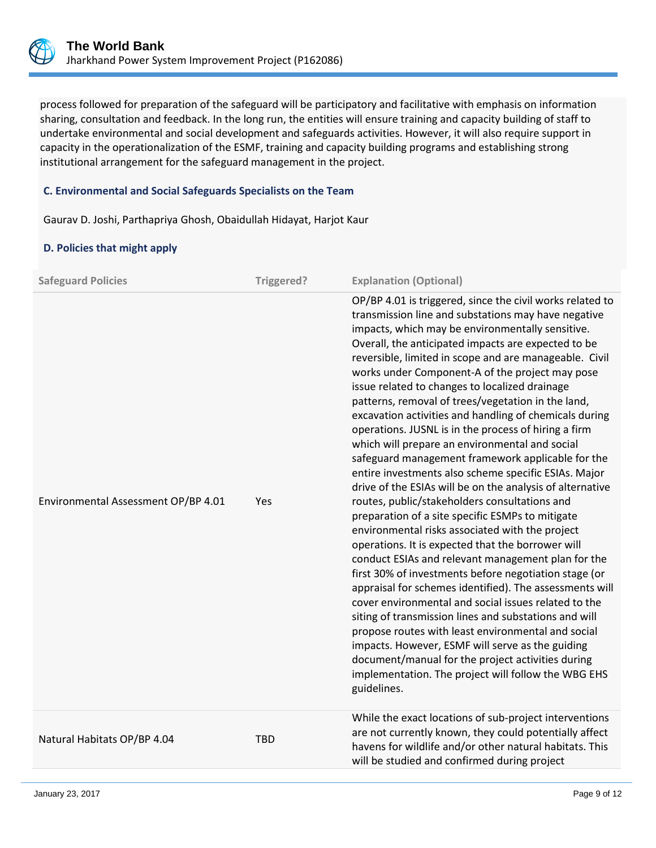

process followed for preparation of the safeguard will be participatory and facilitative with emphasis on information sharing, consultation and feedback. In the long run, the entities will ensure training and capacity building of staff to undertake environmental and social development and safeguards activities. However, it will also require support in capacity in the operationalization of the ESMF, training and capacity building programs and establishing strong institutional arrangement for the safeguard management in the project.

## **C. Environmental and Social Safeguards Specialists on the Team**

Gaurav D. Joshi, Parthapriya Ghosh, Obaidullah Hidayat, Harjot Kaur

#### **D. Policies that might apply**

| <b>Safeguard Policies</b>           | Triggered? | <b>Explanation (Optional)</b>                                                                                                                                                                                                                                                                                                                                                                                                                                                                                                                                                                                                                                                                                                                                                                                                                                                                                                                                                                                                                                                                                                                                                                                                                                                                                                                                                                                                                                                                                                               |
|-------------------------------------|------------|---------------------------------------------------------------------------------------------------------------------------------------------------------------------------------------------------------------------------------------------------------------------------------------------------------------------------------------------------------------------------------------------------------------------------------------------------------------------------------------------------------------------------------------------------------------------------------------------------------------------------------------------------------------------------------------------------------------------------------------------------------------------------------------------------------------------------------------------------------------------------------------------------------------------------------------------------------------------------------------------------------------------------------------------------------------------------------------------------------------------------------------------------------------------------------------------------------------------------------------------------------------------------------------------------------------------------------------------------------------------------------------------------------------------------------------------------------------------------------------------------------------------------------------------|
| Environmental Assessment OP/BP 4.01 | Yes        | OP/BP 4.01 is triggered, since the civil works related to<br>transmission line and substations may have negative<br>impacts, which may be environmentally sensitive.<br>Overall, the anticipated impacts are expected to be<br>reversible, limited in scope and are manageable. Civil<br>works under Component-A of the project may pose<br>issue related to changes to localized drainage<br>patterns, removal of trees/vegetation in the land,<br>excavation activities and handling of chemicals during<br>operations. JUSNL is in the process of hiring a firm<br>which will prepare an environmental and social<br>safeguard management framework applicable for the<br>entire investments also scheme specific ESIAs. Major<br>drive of the ESIAs will be on the analysis of alternative<br>routes, public/stakeholders consultations and<br>preparation of a site specific ESMPs to mitigate<br>environmental risks associated with the project<br>operations. It is expected that the borrower will<br>conduct ESIAs and relevant management plan for the<br>first 30% of investments before negotiation stage (or<br>appraisal for schemes identified). The assessments will<br>cover environmental and social issues related to the<br>siting of transmission lines and substations and will<br>propose routes with least environmental and social<br>impacts. However, ESMF will serve as the guiding<br>document/manual for the project activities during<br>implementation. The project will follow the WBG EHS<br>guidelines. |
| Natural Habitats OP/BP 4.04         | TBD        | While the exact locations of sub-project interventions<br>are not currently known, they could potentially affect<br>havens for wildlife and/or other natural habitats. This<br>will be studied and confirmed during project                                                                                                                                                                                                                                                                                                                                                                                                                                                                                                                                                                                                                                                                                                                                                                                                                                                                                                                                                                                                                                                                                                                                                                                                                                                                                                                 |
|                                     |            |                                                                                                                                                                                                                                                                                                                                                                                                                                                                                                                                                                                                                                                                                                                                                                                                                                                                                                                                                                                                                                                                                                                                                                                                                                                                                                                                                                                                                                                                                                                                             |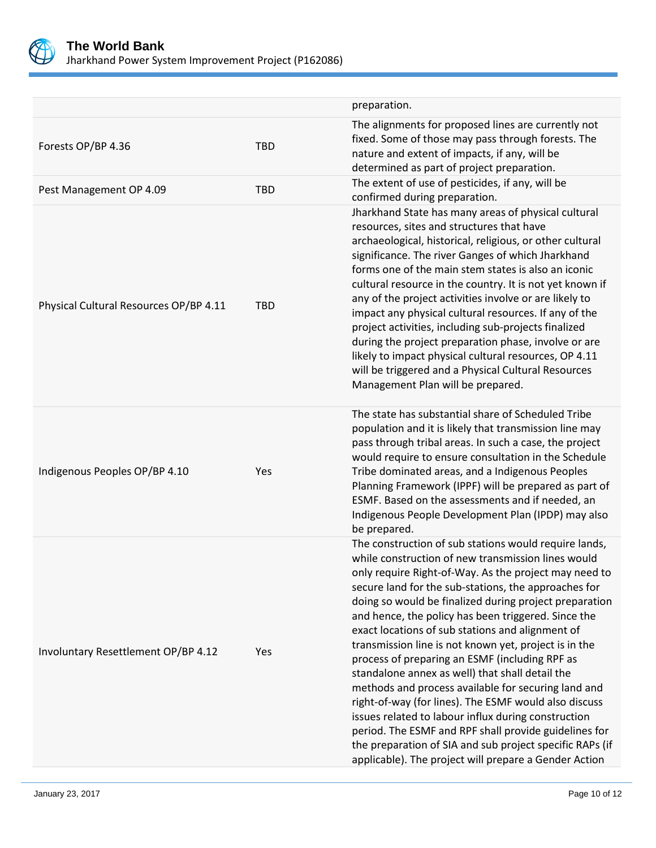

|                                        |            | preparation.                                                                                                                                                                                                                                                                                                                                                                                                                                                                                                                                                                                                                                                                                                                                                                                                                                                                                                         |
|----------------------------------------|------------|----------------------------------------------------------------------------------------------------------------------------------------------------------------------------------------------------------------------------------------------------------------------------------------------------------------------------------------------------------------------------------------------------------------------------------------------------------------------------------------------------------------------------------------------------------------------------------------------------------------------------------------------------------------------------------------------------------------------------------------------------------------------------------------------------------------------------------------------------------------------------------------------------------------------|
| Forests OP/BP 4.36                     | <b>TBD</b> | The alignments for proposed lines are currently not<br>fixed. Some of those may pass through forests. The<br>nature and extent of impacts, if any, will be<br>determined as part of project preparation.                                                                                                                                                                                                                                                                                                                                                                                                                                                                                                                                                                                                                                                                                                             |
| Pest Management OP 4.09                | <b>TBD</b> | The extent of use of pesticides, if any, will be<br>confirmed during preparation.                                                                                                                                                                                                                                                                                                                                                                                                                                                                                                                                                                                                                                                                                                                                                                                                                                    |
| Physical Cultural Resources OP/BP 4.11 | <b>TBD</b> | Jharkhand State has many areas of physical cultural<br>resources, sites and structures that have<br>archaeological, historical, religious, or other cultural<br>significance. The river Ganges of which Jharkhand<br>forms one of the main stem states is also an iconic<br>cultural resource in the country. It is not yet known if<br>any of the project activities involve or are likely to<br>impact any physical cultural resources. If any of the<br>project activities, including sub-projects finalized<br>during the project preparation phase, involve or are<br>likely to impact physical cultural resources, OP 4.11<br>will be triggered and a Physical Cultural Resources<br>Management Plan will be prepared.                                                                                                                                                                                         |
| Indigenous Peoples OP/BP 4.10          | Yes        | The state has substantial share of Scheduled Tribe<br>population and it is likely that transmission line may<br>pass through tribal areas. In such a case, the project<br>would require to ensure consultation in the Schedule<br>Tribe dominated areas, and a Indigenous Peoples<br>Planning Framework (IPPF) will be prepared as part of<br>ESMF. Based on the assessments and if needed, an<br>Indigenous People Development Plan (IPDP) may also<br>be prepared.                                                                                                                                                                                                                                                                                                                                                                                                                                                 |
| Involuntary Resettlement OP/BP 4.12    | Yes        | The construction of sub stations would require lands,<br>while construction of new transmission lines would<br>only require Right-of-Way. As the project may need to<br>secure land for the sub-stations, the approaches for<br>doing so would be finalized during project preparation<br>and hence, the policy has been triggered. Since the<br>exact locations of sub stations and alignment of<br>transmission line is not known yet, project is in the<br>process of preparing an ESMF (including RPF as<br>standalone annex as well) that shall detail the<br>methods and process available for securing land and<br>right-of-way (for lines). The ESMF would also discuss<br>issues related to labour influx during construction<br>period. The ESMF and RPF shall provide guidelines for<br>the preparation of SIA and sub project specific RAPs (if<br>applicable). The project will prepare a Gender Action |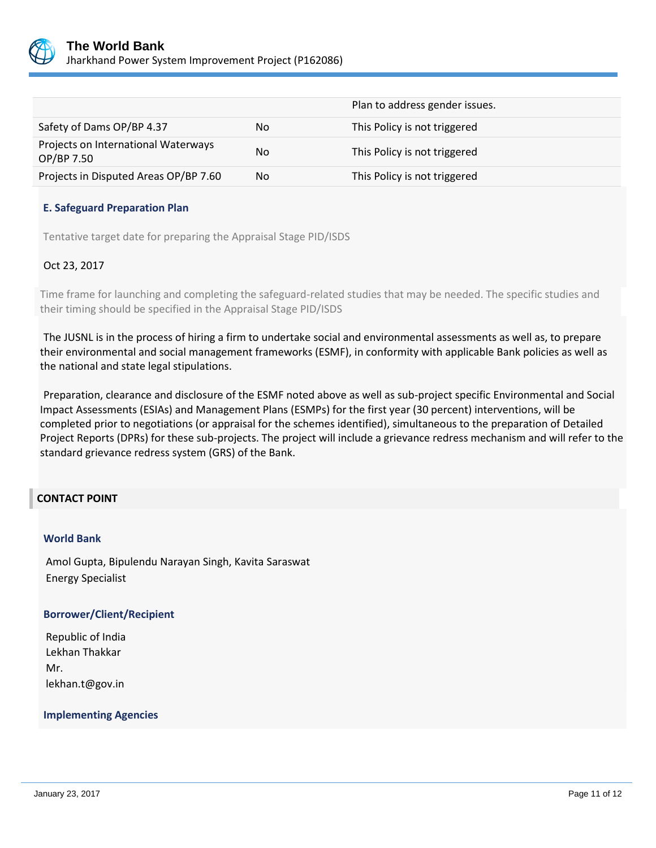

|                                                   |    | Plan to address gender issues. |
|---------------------------------------------------|----|--------------------------------|
| Safety of Dams OP/BP 4.37                         | No | This Policy is not triggered   |
| Projects on International Waterways<br>OP/BP 7.50 | No | This Policy is not triggered   |
| Projects in Disputed Areas OP/BP 7.60             | No | This Policy is not triggered   |

#### **E. Safeguard Preparation Plan**

Tentative target date for preparing the Appraisal Stage PID/ISDS

## Oct 23, 2017

Time frame for launching and completing the safeguard-related studies that may be needed. The specific studies and their timing should be specified in the Appraisal Stage PID/ISDS

The JUSNL is in the process of hiring a firm to undertake social and environmental assessments as well as, to prepare their environmental and social management frameworks (ESMF), in conformity with applicable Bank policies as well as the national and state legal stipulations.

Preparation, clearance and disclosure of the ESMF noted above as well as sub-project specific Environmental and Social Impact Assessments (ESIAs) and Management Plans (ESMPs) for the first year (30 percent) interventions, will be completed prior to negotiations (or appraisal for the schemes identified), simultaneous to the preparation of Detailed Project Reports (DPRs) for these sub-projects. The project will include a grievance redress mechanism and will refer to the standard grievance redress system (GRS) of the Bank.

## **CONTACT POINT**

#### **World Bank**

Amol Gupta, Bipulendu Narayan Singh, Kavita Saraswat Energy Specialist

#### **Borrower/Client/Recipient**

Republic of India Lekhan Thakkar Mr. lekhan.t@gov.in

#### **Implementing Agencies**